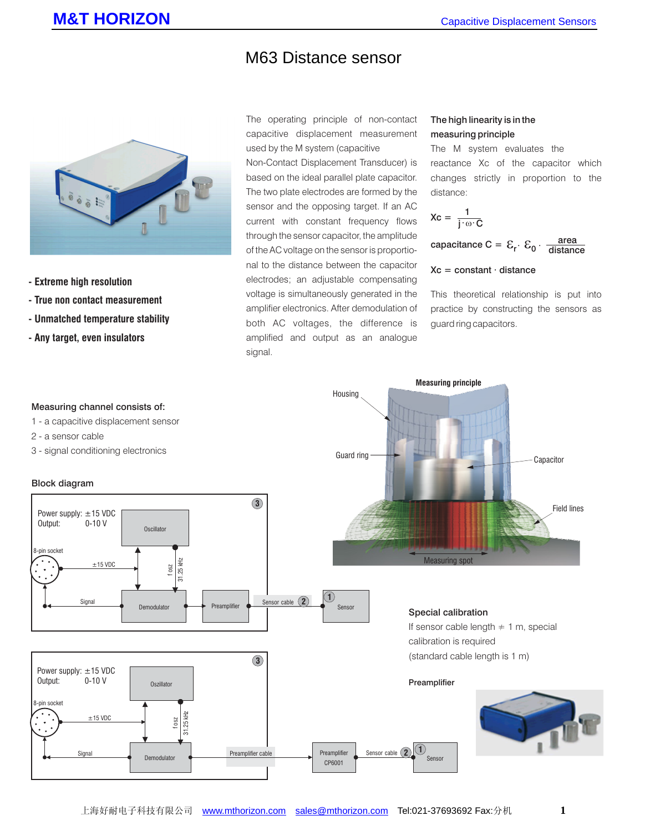## M63 Distance sensor



- **Extreme high resolution**
- **True non contact measurement**
- **Unmatched temperature stability**
- **Any target, even insulators**

The operating principle of non-contact capacitive displacement measurement used by the M system (capacitive

Non-Contact Displacement Transducer) is based on the ideal parallel plate capacitor. The two plate electrodes are formed by the sensor and the opposing target. If an AC current with constant frequency flows through the sensor capacitor, the amplitude of the AC voltage on the sensor is proportional to the distance between the capacitor electrodes; an adjustable compensating voltage is simultaneously generated in the amplifier electronics. After demodulation of both AC voltages, the difference is amplified and output as an analogue signal.

### The high linearity is in the measuring principle

The M system evaluates the reactance Xc of the capacitor which changes strictly in proportion to the distance:

$$
Xc = \frac{1}{j \cdot \omega \cdot C}
$$

capacitance C =  $\mathcal{E}_{\mathsf{r}} \cdot \mathcal{E}_{\mathsf{0}} \cdot \frac{\mathsf{area}}{\mathsf{distance}}$ 

#### $Xc = constant \cdot distance$

This theoretical relationship is put into practice by constructing the sensors as guard ring capacitors.

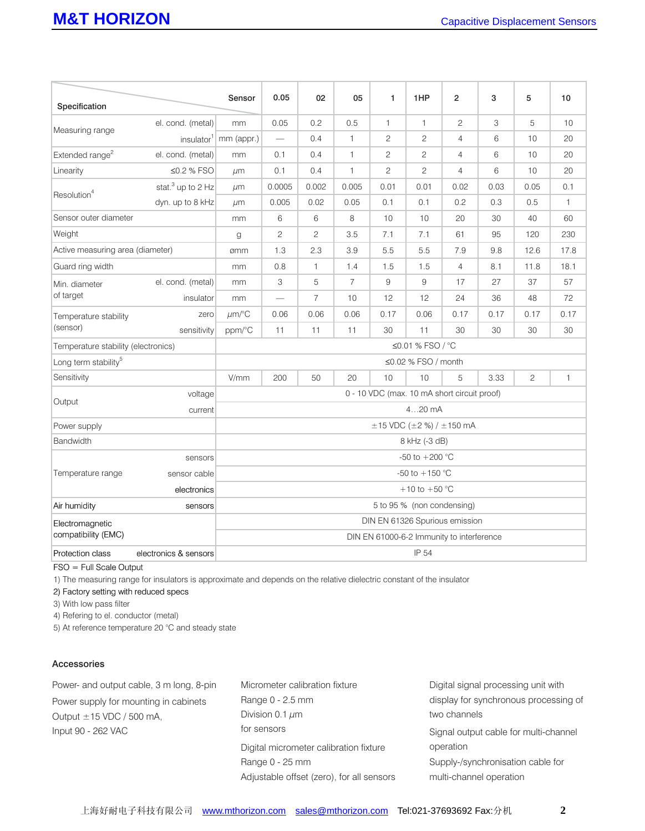|                                     |                               | Sensor                                      | 0.05           | 02             | 05             | 1              | 1HP                            | $\overline{2}$ | 3    | 5              | 10           |
|-------------------------------------|-------------------------------|---------------------------------------------|----------------|----------------|----------------|----------------|--------------------------------|----------------|------|----------------|--------------|
| Specification                       |                               |                                             |                |                |                |                |                                |                |      |                |              |
| Measuring range                     | el. cond. (metal)             | mm                                          | 0.05           | 0.2            | 0.5            | $\mathbf{1}$   | $\mathbf{1}$                   | $\overline{c}$ | 3    | 5              | 10           |
|                                     | insulator <sup>1</sup>        | mm (appr.)                                  | $\equiv$       | 0.4            | $\mathbf{1}$   | $\overline{c}$ | 2                              | $\overline{4}$ | 6    | 10             | 20           |
| Extended range <sup>2</sup>         | el. cond. (metal)             | mm                                          | 0.1            | 0.4            | 1              | $\overline{c}$ | $\mathbf{2}^{\prime}$          | 4              | 6    | 10             | 20           |
| Linearity                           | ≤0.2 % FSO                    | µm                                          | 0.1            | 0.4            | $\mathbf{1}$   | $\overline{2}$ | $\overline{2}$                 | 4              | 6    | 10             | 20           |
| Resolution <sup>4</sup>             | stat. <sup>3</sup> up to 2 Hz | $\mu$ m                                     | 0.0005         | 0.002          | 0.005          | 0.01           | 0.01                           | 0.02           | 0.03 | 0.05           | 0.1          |
|                                     | dyn. up to 8 kHz              | $\mu$ m                                     | 0.005          | 0.02           | 0.05           | 0.1            | 0.1                            | 0.2            | 0.3  | 0.5            | $\mathbf{1}$ |
| Sensor outer diameter               |                               | mm                                          | 6              | 6              | 8              | 10             | 10                             | 20             | 30   | 40             | 60           |
| Weight                              |                               | g                                           | $\overline{c}$ | $\mathbf{2}$   | 3.5            | 7.1            | 7.1                            | 61             | 95   | 120            | 230          |
| Active measuring area (diameter)    |                               | ømm                                         | 1.3            | 2.3            | 3.9            | 5.5            | 5.5                            | 7.9            | 9.8  | 12.6           | 17.8         |
| Guard ring width                    |                               | mm                                          | 0.8            | $\mathbf{1}$   | 1.4            | 1.5            | 1.5                            | $\overline{4}$ | 8.1  | 11.8           | 18.1         |
| Min. diameter<br>of target          | el. cond. (metal)             | mm                                          | 3              | 5              | $\overline{7}$ | 9              | 9                              | 17             | 27   | 37             | 57           |
|                                     | insulator                     | mm                                          |                | $\overline{7}$ | 10             | 12             | 12                             | 24             | 36   | 48             | 72           |
| Temperature stability<br>(sensor)   | zero                          | $\mu$ m/°C                                  | 0.06           | 0.06           | 0.06           | 0.17           | 0.06                           | 0.17           | 0.17 | 0.17           | 0.17         |
|                                     | sensitivity                   | ppm/°C                                      | 11             | 11             | 11             | 30             | 11                             | 30             | 30   | 30             | 30           |
| Temperature stability (electronics) |                               | ≤0.01 % FSO / °C                            |                |                |                |                |                                |                |      |                |              |
| Long term stability <sup>5</sup>    |                               | ≤0.02 % FSO / month                         |                |                |                |                |                                |                |      |                |              |
| Sensitivity                         |                               | V/mm                                        | 200            | 50             | 20             | 10             | 10                             | 5              | 3.33 | $\overline{c}$ | 1            |
| Output                              | voltage                       | 0 - 10 VDC (max. 10 mA short circuit proof) |                |                |                |                |                                |                |      |                |              |
|                                     | current                       | $420$ mA                                    |                |                |                |                |                                |                |      |                |              |
| Power supply                        |                               | $\pm$ 15 VDC ( $\pm$ 2 %) / $\pm$ 150 mA    |                |                |                |                |                                |                |      |                |              |
| <b>Bandwidth</b>                    |                               | 8 kHz (-3 dB)                               |                |                |                |                |                                |                |      |                |              |
| Temperature range                   | sensors                       | -50 to $+200$ °C                            |                |                |                |                |                                |                |      |                |              |
|                                     | sensor cable                  | -50 to $+150$ °C                            |                |                |                |                |                                |                |      |                |              |
|                                     | electronics                   | +10 to +50 $^{\circ}$ C                     |                |                |                |                |                                |                |      |                |              |
| Air humidity                        | sensors                       | 5 to 95 % (non condensing)                  |                |                |                |                |                                |                |      |                |              |
| Electromagnetic                     |                               |                                             |                |                |                |                | DIN EN 61326 Spurious emission |                |      |                |              |
| compatibility (EMC)                 |                               | DIN EN 61000-6-2 Immunity to interference   |                |                |                |                |                                |                |      |                |              |
| Protection class                    | electronics & sensors         | IP 54                                       |                |                |                |                |                                |                |      |                |              |

FSO = Full Scale Output

1) The measuring range for insulators is approximate and depends on the relative dielectric constant of the insulator

2) Factory setting with reduced specs

3) With low pass filter

4) Refering to el. conductor (metal)

5) At reference temperature 20 °C and steady state

#### Accessories

Power- and output cable, 3 m long, 8-pin Power supply for mounting in cabinets Output  $\pm$  15 VDC / 500 mA, Input 90 - 262 VAC Micrometer calibration fixture Range 0 - 2.5 mm Division  $0.1 \mu m$ Digital micrometer calibration fixture Range 0 - 25 mm Adjustable offset (zero), for all sensors Digital signal processing unit with display for synchronous processing of two channels Signal output cable for multi-channel operation Supply-/synchronisation cable for multi-channel operation for sensors